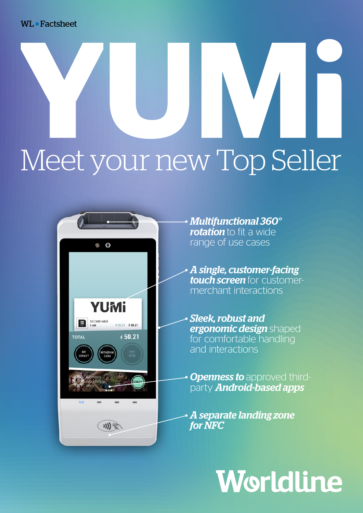WL Factsheet

# Meet your new Top Seller



• *Multifunctional 360° rotation* to fit a wide range of use cases

• *A single, customer-facing touch screen* for customermerchant interactions

• *Sleek, robust and ergonomic design* shaped for comfortable handling and interactions

**Openness to approved third**party *Android-based apps*

• *A separate landing zone for NFC* 

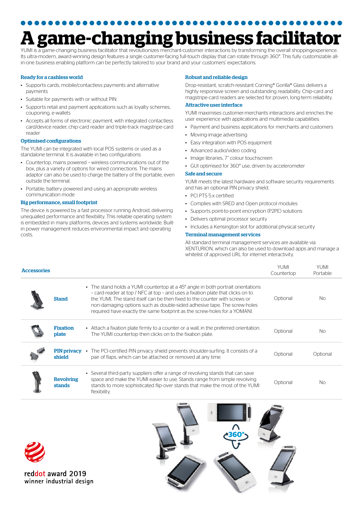# **A game-changing business facilitator**

YUMI is a game-changing business facilitator that revolutionizes merchant-customer interactions by transforming the overall shoppingexperience. Its ultra-modern, award-winning design features a single customer-facing full-touch display that can rotate through 360°. This fully customizable allin-one business enabling platform can be perfectly tailored to your brand and your customers' expectations.

## Ready for a cashless world

- Supports cards, mobile/contactless payments and alternative payments
- Suitable for payments with or without PIN
- Supports retail and payment applications such as loyalty schemes, couponing, e-wallets
- Accepts all forms of electronic payment, with integrated contactless card/device reader, chip-card reader and triple-track magstripe-card reader

# Optimised configurations

The YUMI can be integrated with local POS systems or used as a standalone terminal. It is available in two configurations:

- Countertop, mains powered wireless communications out of the box, plus a variety of options for wired connections. The mains adaptor can also be used to charge the battery of the portable, even outside the terminal.
- Portable, battery powered and using an appropriate wireless communication mode

## Big performance, small footprint

The device is powered by a fast processor running Android, delivering unequalled performance and flexibility. This reliable operating system is embedded in many platforms, devices and systems worldwide. Builtin power management reduces environmental impact and operating costs.

## Robust and reliable design

Drop-resistant, scratch-resistant Corning® Gorilla® Glass delivers a highly responsive screen and outstanding readability. Chip-card and magstripe-card readers are selected for proven, long-term reliability.

## Attractive user interface

YUMI maximises customer-merchants interactions and enriches the user experience with applications and multimedia capabilities:

- Payment and business applications for merchants and customers
- Moving-image advertising
- Easy integration with POS equipment
- Advanced audio/video coding
- Image libraries, 7" colour touchscreen
- GUI optimised for 360° use, driven by accelerometer

# Safe and secure

YUMI meets the latest hardware and software security requirements and has an optional PIN privacy shield.

- PCI PTS 5 x certified
- Complies with SRED and Open protocol modules
- Supports point-to-point encryption (P2PE) solutions
- Delivers optimal processor security
- Includes a Kensington slot for additional physical security

## Terminal management services

All standard terminal management services are available via XENTURION, which can also be used to download apps and manage a whitelist of approved URL for internet interactivity.

YUMI

| <b>Accessories</b> |                              |                                                                                                                                                                                                                                                                                                                                                                                                            | YUMI<br>Countertop | <b>YUMI</b><br>Portable |
|--------------------|------------------------------|------------------------------------------------------------------------------------------------------------------------------------------------------------------------------------------------------------------------------------------------------------------------------------------------------------------------------------------------------------------------------------------------------------|--------------------|-------------------------|
|                    | <b>Stand</b>                 | • The stand holds a YUMI countertop at a 45° angle in both portrait orientations<br>- card-reader at top / NFC at top - and uses a fixation plate that clicks on to<br>the YUMI. The stand itself can be then fixed to the counter with screws or<br>non-damaging options such as double-sided adhesive tape. The screw-holes<br>required have exactly the same footprint as the screw-holes for a YOMANI. | Optional           | No                      |
|                    | <b>Fixation</b><br>plate     | • Attach a fixation plate firmly to a counter or a wall, in the preferred orientation.<br>The YUMI countertop then clicks on to the fixation plate.                                                                                                                                                                                                                                                        | Optional           | No.                     |
|                    | <b>PIN privacy</b><br>shield | The PCI-certified PIN privacy shield prevents shoulder-surfing. It consists of a<br>$\bullet$<br>pair of flaps, which can be attached or removed at any time.                                                                                                                                                                                                                                              | Optional           | Optional                |
|                    | <b>Revolving</b><br>stands   | Several third-party suppliers offer a range of revolving stands that can save<br>$\bullet$<br>space and make the YUMI easier to use. Stands range from simple revolving<br>stands to more sophisticated flip-over stands that make the most of the YUMI<br>flexibility.                                                                                                                                    | Optional           | No.                     |

reddot award 2019 winner industrial design

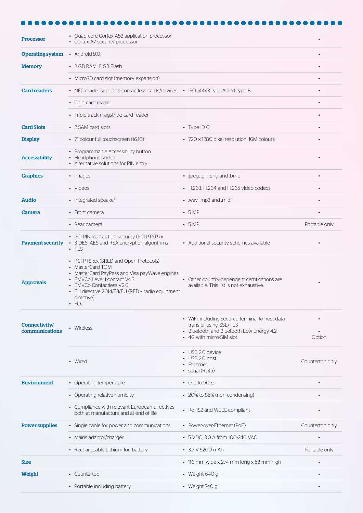| <b>Processor</b>                | • Quad-core Cortex A53 application processor<br>• Cortex A7 security processor                                                                                                                                                                            |                                                                                                                                                   |                 |
|---------------------------------|-----------------------------------------------------------------------------------------------------------------------------------------------------------------------------------------------------------------------------------------------------------|---------------------------------------------------------------------------------------------------------------------------------------------------|-----------------|
| <b>Operating system</b>         | • Android $9.0$                                                                                                                                                                                                                                           |                                                                                                                                                   |                 |
| <b>Memory</b>                   | • 2 GB RAM, 8 GB Flash                                                                                                                                                                                                                                    |                                                                                                                                                   |                 |
|                                 | • MicroSD card slot (memory expansion)                                                                                                                                                                                                                    |                                                                                                                                                   |                 |
| <b>Card readers</b>             | • NFC reader supports contactless cards/devices • ISO 14443 type A and type B                                                                                                                                                                             |                                                                                                                                                   |                 |
|                                 | • Chip-card reader                                                                                                                                                                                                                                        |                                                                                                                                                   |                 |
|                                 | • Triple-track magstripe-card reader                                                                                                                                                                                                                      |                                                                                                                                                   |                 |
| <b>Card Slots</b>               | • 2 SAM card slots                                                                                                                                                                                                                                        | • Type ID $O$                                                                                                                                     |                 |
| <b>Display</b>                  | • 7" colour full touchscreen (16:10)                                                                                                                                                                                                                      | • 720 x 1280 pixel resolution, 16M colours                                                                                                        |                 |
| <b>Accessibility</b>            | • Programmable Accessibility button<br>• Headphone socket<br>• Alternative solutions for PIN entry                                                                                                                                                        |                                                                                                                                                   |                 |
| <b>Graphics</b>                 | • Images                                                                                                                                                                                                                                                  | · .jpeg, .gif, .png and .bmp                                                                                                                      |                 |
|                                 | • Videos                                                                                                                                                                                                                                                  | $\cdot$ H.263, H.264 and H.265 video codecs                                                                                                       |                 |
| <b>Audio</b>                    | • Integrated speaker                                                                                                                                                                                                                                      | • .wav, .mp3 and .midi                                                                                                                            |                 |
| Camera                          | • Front camera                                                                                                                                                                                                                                            | $-5MP$                                                                                                                                            |                 |
|                                 | • Rear camera                                                                                                                                                                                                                                             | $\cdot$ 5 MP                                                                                                                                      | Portable only   |
| <b>Payment security</b>         | • PCI PIN transaction security (PCI PTS) 5.x<br>• 3-DES, AES and RSA encryption algorithms<br>$\cdot$ tls                                                                                                                                                 | • Additional security schemes available                                                                                                           |                 |
| <b>Approvals</b>                | • PCI PTS 5.x (SRED and Open Protocols)<br>• MasterCard TQM<br>• MasterCard PayPass and Visa payWave engines<br>• EMVCo Level 1 contact V4.3<br>• EMVCo Contactless V2.6<br>• EU directive 2014/53/EU (RED - radio equipment<br>directive)<br>$\cdot$ FCC | • Other country-dependent certifications are<br>available. This list is not exhaustive.                                                           |                 |
| Connectivity/<br>communications | • Wireless                                                                                                                                                                                                                                                | • WiFi, including secured terminal to host data<br>transfer using SSL/TLS<br>• Bluetooth and Bluetooth Low Energy 4.2<br>• 4G with micro-SIM slot | Option          |
|                                 | • Wired                                                                                                                                                                                                                                                   | • USB 2.0 device<br>• USB 2.0 host<br>• Ethernet<br>$\cdot$ serial (RJ45)                                                                         | Countertop only |
| <b>Environment</b>              | • Operating temperature                                                                                                                                                                                                                                   | $\cdot$ O°C to 50°C                                                                                                                               |                 |
|                                 | • Operating relative humidity                                                                                                                                                                                                                             | • 20% to 85% (non-condensing)                                                                                                                     |                 |
|                                 | • Compliance with relevant European directives<br>both at manufacture and at end of life                                                                                                                                                                  | • RoHS2 and WEEE-compliant                                                                                                                        |                 |
| <b>Power supplies</b>           | • Single cable for power and communications                                                                                                                                                                                                               | • Power-over-Ethernet (PoE)                                                                                                                       | Countertop only |
|                                 | • Mains adaptor/charger                                                                                                                                                                                                                                   | • 5 VDC, 3.0 A from 100-240 VAC                                                                                                                   |                 |
|                                 | • Rechargeable Lithium-Ion battery                                                                                                                                                                                                                        | • 3.7 V 5200 mAh                                                                                                                                  | Portable only   |
| <b>Size</b>                     |                                                                                                                                                                                                                                                           | • 116 mm wide x 274 mm long x 52 mm high                                                                                                          |                 |
| Weight                          | • Countertop                                                                                                                                                                                                                                              | • Weight $640 g$                                                                                                                                  |                 |
|                                 | • Portable including battery                                                                                                                                                                                                                              | • Weight $740a$                                                                                                                                   |                 |